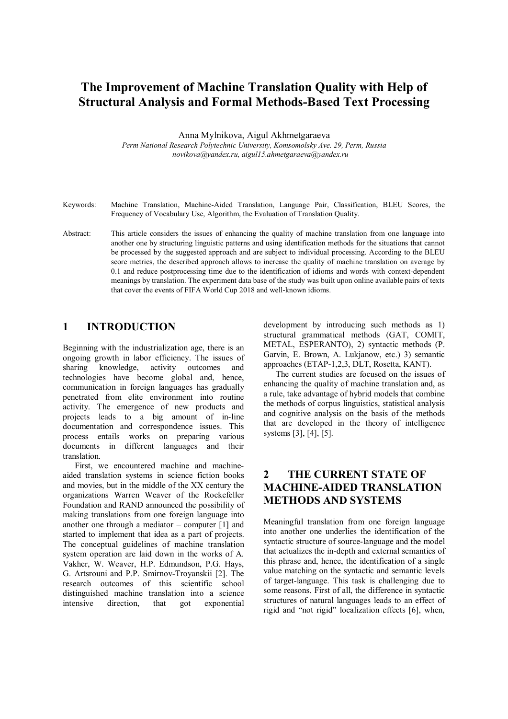# **The Improvement of Machine Translation Quality with Help of Structural Analysis and Formal Methods-Based Text Processing**

Anna Mylnikova and Aigul Akhmetgaraeva

*Perm National Research Polytechnic University, Komsomolsky Ave. 29, Perm, Russia novikova@yandex.ru, aigul15.ahmetgaraeva@yandex.ru*

- Keywords: Machine Translation, Machine-Aided Translation, Language Pair, Classification, BLEU Scores, the Frequency of Vocabulary Use, Algorithm, the Evaluation of Translation Quality.
- Abstract: This article considers the issues of enhancing the quality of machine translation from one language into another one by structuring linguistic patterns and using identification methods for the situations that cannot be processed by the suggested approach and are subject to individual processing. According to the BLEU score metrics, the described approach allows to increase the quality of machine translation on average by 0.1 and reduce postprocessing time due to the identification of idioms and words with context-dependent meanings by translation. The experiment data base of the study was built upon online available pairs of texts that cover the events of FIFA World Cup 2018 and well-known idioms.

### **1 INTRODUCTION**

Beginning with the industrialization age, there is an ongoing growth in labor efficiency. The issues of sharing knowledge, activity outcomes and technologies have become global and, hence, communication in foreign languages has gradually penetrated from elite environment into routine activity. The emergence of new products and projects leads to a big amount of in-line documentation and correspondence issues. This process entails works on preparing various documents in different languages and their translation.

First, we encountered machine and machineaided translation systems in science fiction books and movies, but in the middle of the XX century the organizations Warren Weaver of the Rockefeller Foundation and RAND announced the possibility of making translations from one foreign language into another one through a mediator – computer [1] and started to implement that idea as a part of projects. The conceptual guidelines of machine translation system operation are laid down in the works of A. Vakher, W. Weaver, H.P. Edmundson, P.G. Hays, G. Artsrouni and P.P. Smirnov-Troyanskii [2]. The research outcomes of this scientific school distinguished machine translation into a science intensive direction, that got exponential development by introducing such methods as 1) structural grammatical methods (GAT, COMIT, METAL, ESPERANTO), 2) syntactic methods (P. Garvin, E. Brown, A. Lukjanow, etc.) 3) semantic approaches (ETAP-1,2,3, DLT, Rosetta, KANT).

The current studies are focused on the issues of enhancing the quality of machine translation and, as a rule, take advantage of hybrid models that combine the methods of corpus linguistics, statistical analysis and cognitive analysis on the basis of the methods that are developed in the theory of intelligence systems [3], [4], [5].

## **2 THE CURRENT STATE OF MACHINE-AIDED TRANSLATION METHODS AND SYSTEMS**

Meaningful translation from one foreign language into another one underlies the identification of the syntactic structure of source-language and the model that actualizes the in-depth and external semantics of this phrase and, hence, the identification of a single value matching on the syntactic and semantic levels of target-language. This task is challenging due to some reasons. First of all, the difference in syntactic structures of natural languages leads to an effect of rigid and "not rigid" localization effects [6], when,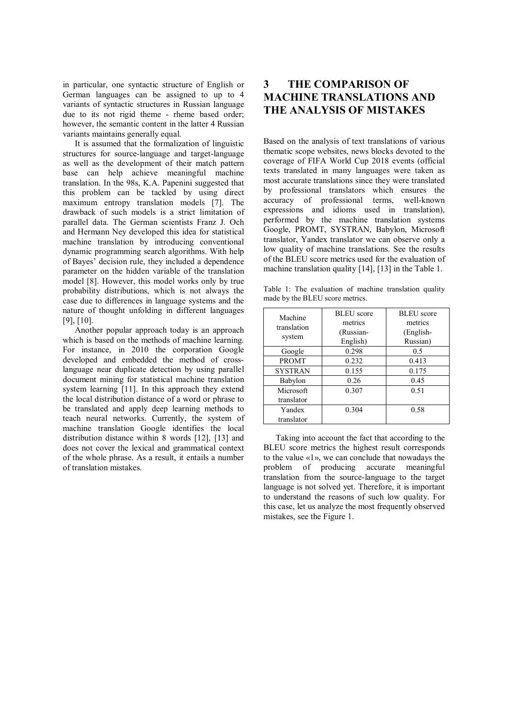in particular, one syntactic structure of English or German languages can be assigned to up to 4 variants of syntactic structures in Russian language due to its not rigid theme - rheme based order; however, the semantic content in the latter 4 Russian variants maintains generally equal.

It is assumed that the formalization of linguistic structures for source-language and target-language as well as the development of their match pattern base can help achieve meaningful machine translation. In the 98s, K.A. Papenini suggested that this problem can be tackled by using direct maximum entropy translation models [7]. The drawback of such models is a strict limitation of parallel data. The German scientists Franz J. Och and Hermann Ney developed this idea for statistical machine translation by introducing conventional dynamic programming search algorithms. With help of Bayes' decision rule, they included a dependence parameter on the hidden variable of the translation model [8]. However, this model works only by true probability distributions, which is not always the case due to differences in language systems and the nature of thought unfolding in different languages [9], [10].

Another popular approach today is an approach which is based on the methods of machine learning. For instance, in 2010 the corporation Google developed and embedded the method of crosslanguage near duplicate detection by using parallel document mining for statistical machine translation system learning [11]. In this approach they extend the local distribution distance of a word or phrase to be translated and apply deep learning methods to teach neural networks. Currently, the system of machine translation Google identifies the local distribution distance within 8 words [12], [13] and does not cover the lexical and grammatical context of the whole phrase. As a result, it entails a number of translation mistakes.

# **3 THE COMPARISON OF MACHINE TRANSLATIONS AND THE ANALYSIS OF MISTAKES**

Based on the analysis of text translations of various thematic scope websites, news blocks devoted to the coverage of FIFA World Cup 2018 events (official texts translated in many languages were taken as most accurate translations since they were translated by professional translators which ensures the accuracy of professional terms, well-known expressions and idioms used in translation), performed by the machine translation systems Google, PROMT, SYSTRAN, Babylon, Microsoft translator, Yandex translator we can observe only a low quality of machine translations. See the results of the BLEU score metrics used for the evaluation of machine translation quality [14], [13] in the Table 1.

Table 1: The evaluation of machine translation quality made by the BLEU score metrics.

| Machine<br>translation | <b>BLEU</b> score | <b>BLEU</b> score<br>metrics |  |
|------------------------|-------------------|------------------------------|--|
|                        | metrics           |                              |  |
|                        | (Russian-         | (English-                    |  |
| system                 | English)          | Russian)                     |  |
| Google                 | 0.298             | 0.5                          |  |
| <b>PROMT</b>           | 0.232             | 0.413                        |  |
| <b>SYSTRAN</b>         | 0.155             | 0.175                        |  |
| Babylon                | 0.26              | 0.45                         |  |
| Microsoft              | 0.307             | 0.51                         |  |
| translator             |                   |                              |  |
| Yandex                 | 0.304             | 0.58                         |  |
| translator             |                   |                              |  |

Taking into account the fact that according to the BLEU score metrics the highest result corresponds to the value «1», we can conclude that nowadays the problem of producing accurate meaningful translation from the source-language to the target language is not solved yet. Therefore, it is important to understand the reasons of such low quality. For this case, let us analyze the most frequently observed mistakes, see the Figure 1.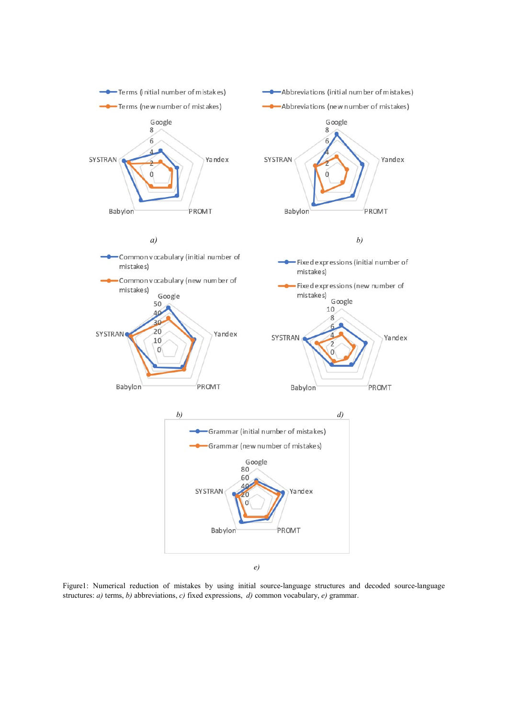

*e)*

Figure1: Numerical reduction of mistakes by using initial source-language structures and decoded source-language structures: *a)* terms, *b)* abbreviations, *c)* fixed expressions, *d)* common vocabulary, *e)* grammar.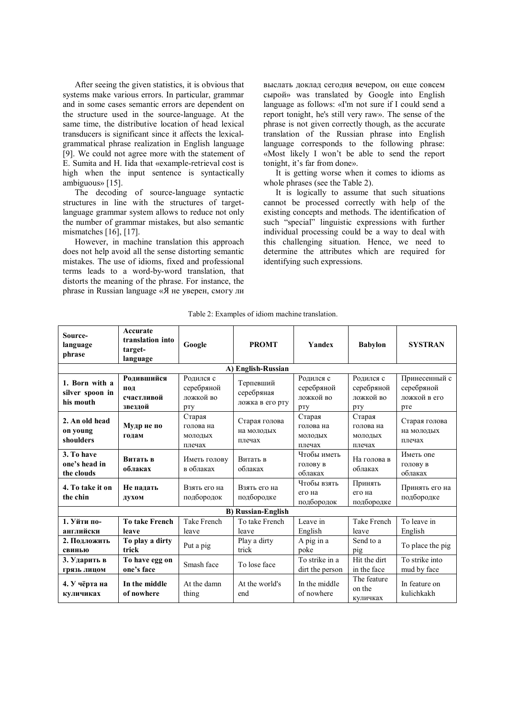After seeing the given statistics, it is obvious that systems make various errors. In particular, grammar and in some cases semantic errors are dependent on the structure used in the source-language. At the same time, the distributive location of head lexical transducers is significant since it affects the lexicalgrammatical phrase realization in English language [9]. We could not agree more with the statement of E. Sumita and H. Iida that «example-retrieval cost is high when the input sentence is syntactically ambiguous» [15].

The decoding of source-language syntactic structures in line with the structures of targetlanguage grammar system allows to reduce not only the number of grammar mistakes, but also semantic mismatches [16], [17].

However, in machine translation this approach does not help avoid all the sense distorting semantic mistakes. The use of idioms, fixed and professional terms leads to a word-by-word translation, that distorts the meaning of the phrase. For instance, the phrase in Russian language «Я не уверен, смогу ли

выслать доклад сегодня вечером, он еще совсем сырой» was translated by Google into English language as follows: «I'm not sure if I could send a report tonight, he's still very raw». The sense of the phrase is not given correctly though, as the accurate translation of the Russian phrase into English language corresponds to the following phrase: «Most likely I won't be able to send the report tonight, it's far from done».

It is getting worse when it comes to idioms as whole phrases (see the Table 2).

It is logically to assume that such situations cannot be processed correctly with help of the existing concepts and methods. The identification of such "special" linguistic expressions with further individual processing could be a way to deal with this challenging situation. Hence, we need to determine the attributes which are required for identifying such expressions.

| Source-<br>language<br>phrase                  | Accurate<br>translation into<br>target-<br>language | Google                                      | <b>PROMT</b>                               | Yandex                                      | <b>Babylon</b>                              | <b>SYSTRAN</b>                                     |
|------------------------------------------------|-----------------------------------------------------|---------------------------------------------|--------------------------------------------|---------------------------------------------|---------------------------------------------|----------------------------------------------------|
|                                                |                                                     |                                             | A) English-Russian                         |                                             |                                             |                                                    |
| 1. Born with a<br>silver spoon in<br>his mouth | Ролившийся<br>ПОД<br>счастливой<br>звездой          | Родился с<br>серебряной<br>ложкой во<br>рту | Терпевший<br>серебряная<br>ложка в его рту | Родился с<br>серебряной<br>ложкой во<br>pry | Родился с<br>серебряной<br>ложкой во<br>рту | Принесенный с<br>серебряной<br>ложкой в его<br>pre |
| 2. An old head<br>on young<br>shoulders        | Мудр не по<br>голам                                 | Старая<br>голова на<br>молодых<br>плечах    | Старая голова<br>на молодых<br>плечах      | Старая<br>голова на<br>молодых<br>плечах    | Старая<br>голова на<br>молодых<br>плечах    | Старая голова<br>на молодых<br>плечах              |
| 3. To have<br>one's head in<br>the clouds      | Витать в<br>облаках                                 | Иметь голову<br>в облаках                   | Витать в<br>облаках                        | Чтобы иметь<br>голову в<br>облаках          | На голова в<br>облаках                      | Иметь опе<br>голову в<br>облаках                   |
| 4. To take it on<br>the chin                   | Не палать<br>духом                                  | Взять его на<br>подбородок                  | Взять его на<br>подбородке                 | Чтобы взять<br>его на<br>подбородок         | Принять<br>его на<br>подбородке             | Принять его на<br>подбородке                       |
| <b>B)</b> Russian-English                      |                                                     |                                             |                                            |                                             |                                             |                                                    |
| 1. Уйти по-<br>английски                       | <b>To take French</b><br>leave                      | Take French<br>leave                        | To take French<br>leave                    | Leave in<br>English                         | Take French<br>leave                        | To leave in<br>English                             |
| 2. Полложить<br>свинью                         | To play a dirty<br>trick                            | Put a pig                                   | Play a dirty<br>trick                      | A pig in a<br>poke                          | Send to a<br>pig                            | To place the pig                                   |
| 3. Ударить в<br>грязь лицом                    | To have egg on<br>one's face                        | Smash face                                  | To lose face                               | To strike in a<br>dirt the person           | Hit the dirt<br>in the face                 | To strike into<br>mud by face                      |
| 4. У чёрта на<br>куличиках                     | In the middle<br>of nowhere                         | At the damn<br>thing                        | At the world's<br>end                      | In the middle<br>of nowhere                 | The feature<br>on the<br>куличках           | In feature on<br>kulichkakh                        |

Table 2: Examples of idiom machine translation.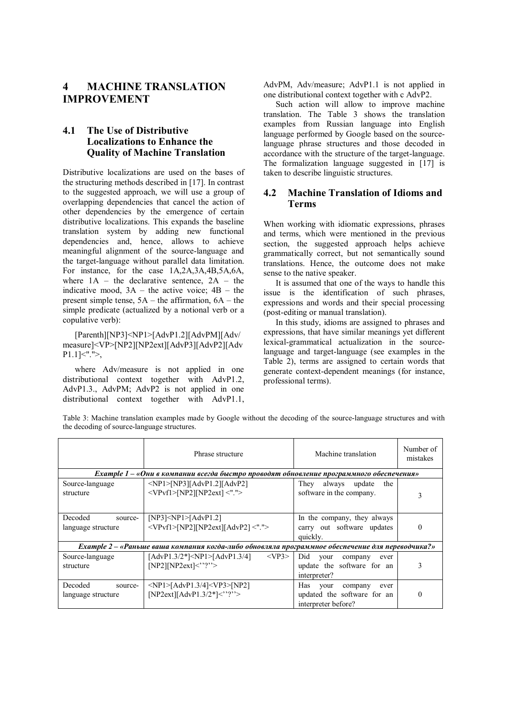## **4 MACHINE TRANSLATION IMPROVEMENT**

#### **4.1 The Use of Distributive Localizations to Enhance the Quality of Machine Translation**

Distributive localizations are used on the bases of the structuring methods described in [17]. In contrast to the suggested approach, we will use a group of overlapping dependencies that cancel the action of other dependencies by the emergence of certain distributive localizations. This expands the baseline translation system by adding new functional dependencies and, hence, allows to achieve meaningful alignment of the source-language and the target-language without parallel data limitation. For instance, for the case 1A,2A,3A,4B,5A,6A, where  $1A$  – the declarative sentence,  $2A$  – the indicative mood,  $3A$  – the active voice;  $4B$  – the present simple tense, 5А – the affirmation, 6А – the simple predicate (actualized by a notional verb or a copulative verb):

[Parenth][NP3]<NP1>[AdvP1.2][AdvPM][Adv/ measure]<VP>[NP2][NP2ext][AdvP3][AdvP2][Adv  $P1.1$ ] <"." >,

where Adv/measure is not applied in one distributional context together with AdvP1.2, AdvP1.3., AdvPM; AdvP2 is not applied in one distributional context together with AdvP1.1,

AdvPM, Adv/measure; AdvP1.1 is not applied in one distributional context together with с AdvP2.

Such action will allow to improve machine translation. The Table 3 shows the translation examples from Russian language into English language performed by Google based on the sourcelanguage phrase structures and those decoded in accordance with the structure of the target-language. The formalization language suggested in [17] is taken to describe linguistic structures.

#### **4.2 Machine Translation of Idioms and Terms**

When working with idiomatic expressions, phrases and terms, which were mentioned in the previous section, the suggested approach helps achieve grammatically correct, but not semantically sound translations. Hence, the outcome does not make sense to the native speaker.

It is assumed that one of the ways to handle this issue is the identification of such phrases, expressions and words and their special processing (post-editing or manual translation).

In this study, idioms are assigned to phrases and expressions, that have similar meanings yet different lexical-grammatical actualization in the sourcelanguage and target-language (see examples in the Table 2), terms are assigned to certain words that generate context-dependent meanings (for instance, professional terms).

Table 3: Machine translation examples made by Google without the decoding of the source-language structures and with the decoding of source-language structures.

|                                                                                                  | Phrase structure                                                                        | Machine translation             | Number of<br>mistakes |  |  |
|--------------------------------------------------------------------------------------------------|-----------------------------------------------------------------------------------------|---------------------------------|-----------------------|--|--|
|                                                                                                  | Example 1 – «Они в компании всегда быстро проводят обновление программного обеспечения» |                                 |                       |  |  |
| Source-language                                                                                  | $\langle NP1 > [NP3][AdvP1.2][AdvP2]$                                                   | They<br>update<br>the<br>always |                       |  |  |
| structure                                                                                        | $<$ VPvf1>[NP2][NP2ext] $<$ ".">                                                        | software in the company.        | 3                     |  |  |
|                                                                                                  |                                                                                         |                                 |                       |  |  |
| Decoded<br>source-                                                                               | [NP3] < NP1 > [AdvP1.2]                                                                 | In the company, they always     |                       |  |  |
| language structure                                                                               | <vpvf1>[NP2][NP2ext][AdvP2]&lt;"."&gt;</vpvf1>                                          | carry out software updates      | 0                     |  |  |
|                                                                                                  |                                                                                         | quickly.                        |                       |  |  |
| Example 2 - «Раньше ваша компания когда-либо обновляла программное обеспечение для переводчика?» |                                                                                         |                                 |                       |  |  |
| Source-language                                                                                  | $<$ VP3><br>$[AdvP1.3/2*][AdvP1.3/4]$                                                   | Did<br>your<br>company<br>ever  |                       |  |  |
| structure                                                                                        | $[NP2][NP2ext] \leq$ "?">                                                               | update the software for an      |                       |  |  |
|                                                                                                  |                                                                                         | interpreter?                    |                       |  |  |
| Decoded<br>source-                                                                               | $\langle NP1 >  AdvP1.3/4  \langle VP3 >  NP2  \rangle$                                 | Has<br>your<br>company<br>ever  |                       |  |  |
| language structure                                                                               | [NP2ext][AdvP1.3/2*]<"?">                                                               | updated the software for an     | $\theta$              |  |  |
|                                                                                                  |                                                                                         | interpreter before?             |                       |  |  |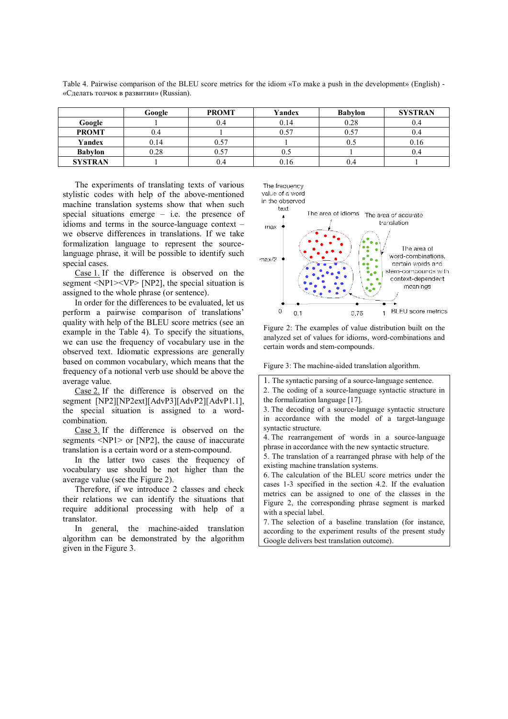|                | Google | <b>PROMT</b> | Yandex | <b>Babylon</b> | <b>SYSTRAN</b> |
|----------------|--------|--------------|--------|----------------|----------------|
| Google         |        | 0.4          | 0.14   | 0.28           | 0.4            |
| <b>PROMT</b>   | 0.4    |              | 0.57   | 0.57           | 0.4            |
| Yandex         | 0.14   | 0.57         |        | U.)            | 0.16           |
| <b>Babylon</b> | 0.28   | 0.57         | U.J    |                | 0.4            |
| <b>SYSTRAN</b> |        | 0.4          | 0.16   | 0.4            |                |

Table 4 Pairwise comparison of the BLEU score metrics for the idiom «To make a push in the development» (English) - «Сделать толчок в развитии» (Russian).

The experiments of translating texts of various stylistic codes with help of the above-mentioned machine translation systems show that when such special situations emerge – i.e. the presence of idioms and terms in the source-language context – we observe differences in translations. If we take formalization language to represent the sourcelanguage phrase, it will be possible to identify such special cases.

Case 1. If the difference is observed on the segment  $\langle NP1 \rangle \langle VP \rangle$  [NP2], the special situation is assigned to the whole phrase (or sentence).

In order for the differences to be evaluated, let us perform a pairwise comparison of translations' quality with help of the BLEU score metrics (see an example in the Table 4). To specify the situations, we can use the frequency of vocabulary use in the observed text. Idiomatic expressions are generally based on common vocabulary, which means that the frequency of a notional verb use should be above the average value.

Case 2. If the difference is observed on the segment [NP2][NP2ext][AdvP3][AdvP2][AdvP1.1], the special situation is assigned to a wordcombination.

Case 3. If the difference is observed on the segments <NP1> or [NP2], the cause of inaccurate translation is a certain word or a stem-compound.

In the latter two cases the frequency of vocabulary use should be not higher than the average value (see the Figure 2).

Therefore, if we introduce 2 classes and check their relations we can identify the situations that require additional processing with help of a translator.

In general, the machine-aided translation algorithm can be demonstrated by the algorithm given in the Figure 3.







Figure 2: The examples of value distribution built on the analyzed set of values for idioms, word-combinations and certain words and stem-compounds.

Figure 3: The machine-aided translation algorithm.

4. The rearrangement of words in a source-language phrase in accordance with the new syntactic structure.

5. The translation of a rearranged phrase with help of the existing machine translation systems.

6. The calculation of the BLEU score metrics under the cases 1-3 specified in the section 4.2. If the evaluation metrics can be assigned to one of the classes in the Figure 2, the corresponding phrase segment is marked with a special label.

7. The selection of a baseline translation (for instance, according to the experiment results of the present study Google delivers best translation outcome).

<sup>1.</sup> The syntactic parsing of a source-language sentence.

<sup>2.</sup> The coding of a source-language syntactic structure in the formalization language [17].

<sup>3.</sup> The decoding of a source-language syntactic structure in accordance with the model of a target-language syntactic structure.